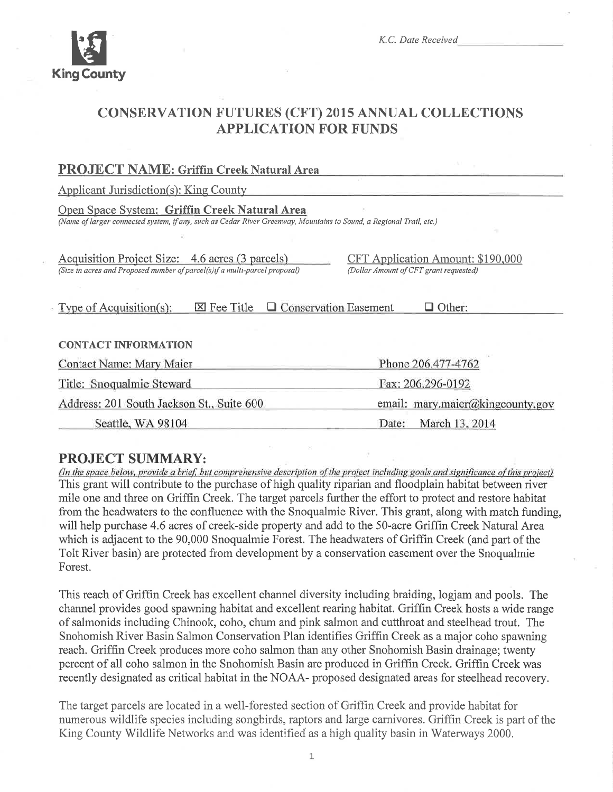

K.C. Date Received

# **CONSERVATION FUTURES (CFT) 2015 ANNUAL COLLECTIONS APPLICATION FOR FUNDS**

| <b>PROJECT NAME: Griffin Creek Natural Area</b>                                                                                                                      |                                                                                    |  |  |  |
|----------------------------------------------------------------------------------------------------------------------------------------------------------------------|------------------------------------------------------------------------------------|--|--|--|
| <b>Applicant Jurisdiction(s): King County</b>                                                                                                                        |                                                                                    |  |  |  |
| Open Space System: Griffin Creek Natural Area<br>(Name of larger connected system, if any, such as Cedar River Greenway, Mountains to Sound, a Regional Trail, etc.) |                                                                                    |  |  |  |
|                                                                                                                                                                      |                                                                                    |  |  |  |
| Acquisition Project Size: 4.6 acres (3 parcels)<br>(Size in acres and Proposed number of parcel(s)if a multi-parcel proposal)                                        | <b>CFT Application Amount: \$190,000</b><br>(Dollar Amount of CFT grant requested) |  |  |  |
|                                                                                                                                                                      |                                                                                    |  |  |  |
| $\Box$ Conservation Easement<br><b>X</b> Fee Title<br>Type of Acquisition(s):<br>$\Box$ Other:                                                                       |                                                                                    |  |  |  |
|                                                                                                                                                                      |                                                                                    |  |  |  |
| <b>CONTACT INFORMATION</b>                                                                                                                                           |                                                                                    |  |  |  |
| Contact Name: Mary Maier                                                                                                                                             | Phone 206.477-4762                                                                 |  |  |  |
| Title: Snoqualmie Steward                                                                                                                                            | Fax: 206.296-0192                                                                  |  |  |  |
| Address: 201 South Jackson St., Suite 600                                                                                                                            | email: mary.maier@kingcounty.gov                                                   |  |  |  |
| Seattle, WA 98104                                                                                                                                                    | March 13, 2014<br>Date:                                                            |  |  |  |

# **PROJECT SUMMARY:**

(In the space below, provide a brief, but comprehensive description of the project including goals and significance of this project) This grant will contribute to the purchase of high quality riparian and floodplain habitat between river mile one and three on Griffin Creek. The target parcels further the effort to protect and restore habitat from the headwaters to the confluence with the Snoqualmie River. This grant, along with match funding, will help purchase 4.6 acres of creek-side property and add to the 50-acre Griffin Creek Natural Area which is adjacent to the 90,000 Snoqualmie Forest. The headwaters of Griffin Creek (and part of the Tolt River basin) are protected from development by a conservation easement over the Snoqualmie Forest.

This reach of Griffin Creek has excellent channel diversity including braiding, logjam and pools. The channel provides good spawning habitat and excellent rearing habitat. Griffin Creek hosts a wide range of salmonids including Chinook, coho, chum and pink salmon and cutthroat and steelhead trout. The Snohomish River Basin Salmon Conservation Plan identifies Griffin Creek as a major coho spawning reach. Griffin Creek produces more coho salmon than any other Snohomish Basin drainage; twenty percent of all coho salmon in the Snohomish Basin are produced in Griffin Creek. Griffin Creek was recently designated as critical habitat in the NOAA- proposed designated areas for steelhead recovery.

The target parcels are located in a well-forested section of Griffin Creek and provide habitat for numerous wildlife species including songbirds, raptors and large carnivores. Griffin Creek is part of the King County Wildlife Networks and was identified as a high quality basin in Waterways 2000.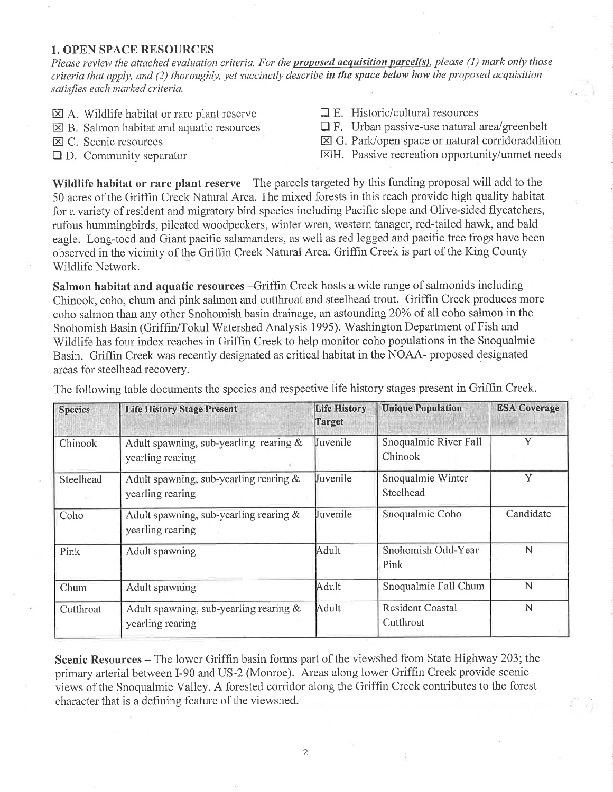## 1. OPEN SPACE RESOURCES

Please review the attached evaluation criteria. For the *proposed acquisition parcel(s)*, please (1) mark only those criteria that apply, and (2) thoroughly, yet succinctly describe in the space below how the proposed acquisition satisfies each marked criteria.

- $\boxtimes$  A. Wildlife habitat or rare plant reserve
- $\boxtimes$  B. Salmon habitat and aquatic resources
- EI C. Scenic resources
- $\Box$  D. Community separator
- $\Box$  E. Historic/cultural resources
- $\Box$  F. Urban passive-use natural area/greenbelt
- $\boxtimes$  G. Park/open space or natural corridoraddition
- ElH. Passive recreation opportunity/unmet needs

Wildlife habitat or rare plant reserve  $-$  The parcels targeted by this funding proposal will add to the 50 acres of the Griffin Creek Natural Area. The mixed forests in this reach provide high quality habitat for a variety of resident and migratory bird species including Pacific slope and Olive-sided flycatchers, rufous hummingbirds, pileated woodpeckers, winter wren, western tanager, red-tailed hawk, and bald eagle. Long-toed and Giant pacific salamanders, as well as red legged and pacific tree frogs have been observed in the vicinity of the Griffin Creek Natural Area. Grifhn Creek is part of the King County Wildlife Network.

Salmon habitat and aquatic resources -Griffin Creek hosts a wide range of salmonids including Chinook, coho, chum and pink salmon and cutthroat and steelhead trout. Griffin Creek produces more coho salmon than any other Snohomish basin drainage, an astounding 20% of all coho salmon in the Snohomish Basin (Griffin/Tokul Watershed Analysis 1995). Washington Department of Fish and Wildlife has four index reaches in Griffin Creek to help monitor coho populations in the Snoqualmie Basin. Grifhn Creek was recently designated as critical habitat in the NOAA- proposed designated areas for steelhead recovery.

| <b>Species</b> | <b>Life History Stage Present</b>                             | <b>Life History</b><br>Target | <b>Unique Population</b>             | <b>ESA Coverage</b> |
|----------------|---------------------------------------------------------------|-------------------------------|--------------------------------------|---------------------|
| Chinook        | Adult spawning, sub-yearling rearing $\&$<br>yearling rearing | <b>Juvenile</b>               | Snoqualmie River Fall<br>Chinook     | Y                   |
| Steelhead      | Adult spawning, sub-yearling rearing $&$<br>yearling rearing  | <b>Uuvenile</b>               | Snoqualmie Winter<br>Steelhead       | Ÿ                   |
| Coho           | Adult spawning, sub-yearling rearing $\&$<br>yearling rearing | <b>I</b> uvenile              | Snoqualmie Coho                      | Candidate           |
| Pink           | Adult spawning                                                | Adult                         | Snohomish Odd-Year<br>Pink           | N                   |
| Chum           | Adult spawning                                                | Adult                         | Snoqualmie Fall Chum                 | N                   |
| Cutthroat      | Adult spawning, sub-yearling rearing $\&$<br>yearling rearing | Adult                         | <b>Resident Coastal</b><br>Cutthroat | N                   |

The following table documents the species and respective life history stages present in Griffin Creek.

Scenic Resources - The lower Griffin basin forms part of the viewshed from State Highway 203; the primary arterial between I-90 and US-2 (Monroe). Areas along lower Griffin Creek provide scenic views of the Snoqualmie Valley. A forested corridor along the Griffin Creek contributes to the forest character that is a defining feature of the viewshed.

2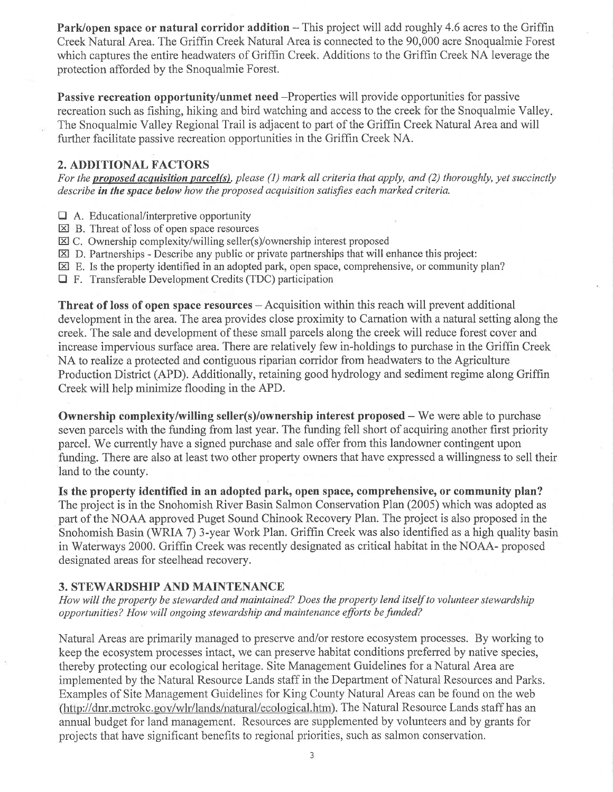Park/open space or natural corridor addition – This project will add roughly 4.6 acres to the Griffin Creek Natural Area. The Griffin Creek Natural Area is connected to the 90,000 acre Snoqualmie Forest which captures the entire headwaters of Griffin Creek. Additions to the Griffin Creek NA leverage the protection afforded by the Snoqualmie Forest.

Passive recreation opportunity/unmet need -Properties will provide opportunities for passive recreation such as fishing, hiking and bird watching and access to the creek for the Snoqualmie Valley The Snoqualmie Valley Regional Trail is adjacent to part of the Griffrn Creek Natural Area and will further facilitate passive recreation opportunities in the Griffin Creek NA.

## 2. ADDITIONAL FACTORS

For the proposed acquisition parcel(s), please (1) mark all criteria that apply, and (2) thoroughly, yet succinctly describe in the space below how the proposed acquisition satisfies each marked criteria.

- $\Box$  A. Educational/interpretive opportunity
- $\boxtimes$  B. Threat of loss of open space resources
- $\boxtimes$  C. Ownership complexity/willing seller(s)/ownership interest proposed
- $\boxtimes$  D. Partnerships Describe any public or private partnerships that will enhance this project:
- $\boxtimes$  E. Is the property identified in an adopted park, open space, comprehensive, or community plan?
- $\Box$  F. Transferable Development Credits (TDC) participation

**Threat of loss of open space resources**  $-$  Acquisition within this reach will prevent additional development in the area. The area provides close proximity to Camation with a natural setting along the creek. The sale and development of these small parcels along the creek will reduce forest cover and increase impervious surface area. There are relatively few in-holdings to purchase in the Griffin Creek NA to realize a protected and contiguous riparian corridor from headwaters to the Agriculture Production District (APD). Additionally, retaining good hydrology and sediment regime along Griffin Creek will help minimize flooding in the APD.

**Ownership complexity/willing seller(s)/ownership interest proposed –** We were able to purchase seven parcels with the funding from last year. The funding fell short of acquiring another first priority parcel. We currently have a signed purchase and sale offer from this landowner contingent upon funding. There are also at least two other property owners that have expressed a willingness to sell their land to the county.

Is the property identified in an adopted park, open space, comprehensive, or community plan? The project is in the Snohomish River Basin Salmon Conservation Plan (2005) which was adopted as part of the NOAA approved Puget Sound Chinook Recovery Plan. The project is also proposed in the Snohomish Basin (WRIA 7) 3-year Work Plan. Griffin Creek was also identified as a high quality basin in Waterways 2000. Griffin Creek was recently designated as critical habitat in the NOAA- proposed designated areas for steelhead recovery.

# 3. STEWARDSHIP AND MAINTENANCE

How will the property be stewarded and maintained? Does the property lend itself to volunteer stewardship opportunities? How will ongoing sÍewardship and maintenance efforts be funded?

Natural Areas are primarily managed to preserve and/or restore ecosystem processes. By working to keep the ecosystem processes intact, we can preserve habitat conditions preferred by native species, thereby protecting our ecological heritage. Site Management Guidelines for a Natural Area are implemented by the Natural Resource Lands staff in the Department of Natural Resources and Parks. Examples of Site Management Guidelines for King County Natural Areas can be found on the web (http://dnr.metrokc.gov/wlr/lands/natural/ecological.htm). The Natural Resource Lands staff has an annual budget for land management. Resources are supplemented by volunteers and by grants for projects that have significant benefits to regional priorities, such as salmon conservation.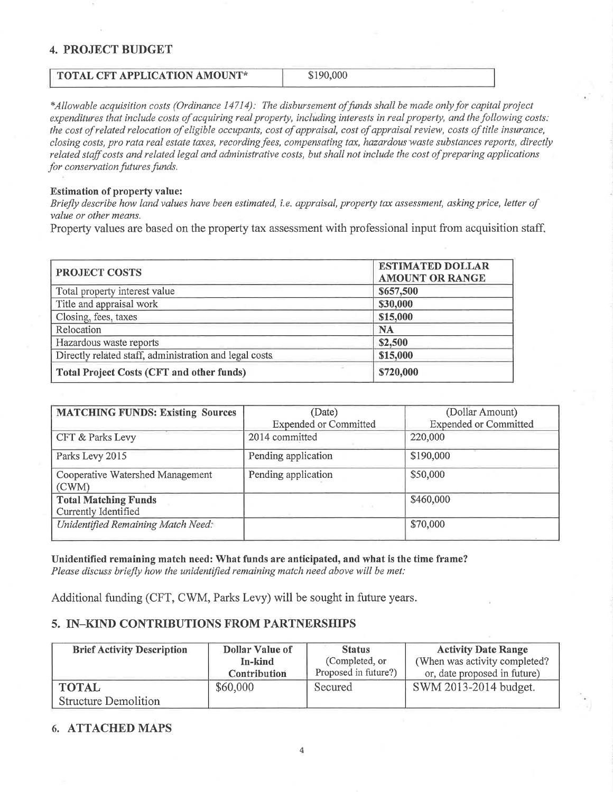## 4. PROJECT BUDGET

# TOTAL CFT APPLICATION AMOUNT\* \$190,000

\*Allowable acquisition costs (Ordinance 14714): The disbursement offunds shall be made only foy capital project expenditures that include costs of acquiring real property, including interests in real property, and the following costs: the cost of related relocation of eligible occupants, cost of appraisal, cost of appraisal review, costs of title insurance, closing costs, pro rata real estate taxes, recording fees, compensating tax, hazardous waste substances reports, directly related staff costs and related legal and administrative costs, but shall not include the cost of preparing applications for conservation futures funds.

#### Estimation of property value:

Briefly describe how land values have been estimated, í.e. appraisal, property tax assessment, asking price, letter of value or other means.

Property values are based on the property tax assessment with professional input from acquisition staff,

| <b>PROJECT COSTS</b>                                   | <b>ESTIMATED DOLLAR</b><br><b>AMOUNT OR RANGE</b> |
|--------------------------------------------------------|---------------------------------------------------|
| Total property interest value                          | \$657,500                                         |
| Title and appraisal work                               | \$30,000                                          |
| Closing, fees, taxes                                   | \$15,000                                          |
| Relocation                                             | <b>NA</b>                                         |
| Hazardous waste reports                                | \$2,500                                           |
| Directly related staff, administration and legal costs | \$15,000                                          |
| <b>Total Project Costs (CFT and other funds)</b>       | \$720,000                                         |

| <b>MATCHING FUNDS: Existing Sources</b>             | (Dollar Amount)<br>(Date)    |                              |
|-----------------------------------------------------|------------------------------|------------------------------|
|                                                     | <b>Expended or Committed</b> | <b>Expended or Committed</b> |
| CFT & Parks Levy                                    | 2014 committed               | 220,000                      |
| Parks Levy 2015                                     | Pending application          | \$190,000                    |
| Cooperative Watershed Management<br>(CWM)           | Pending application          | \$50,000                     |
| <b>Total Matching Funds</b><br>Currently Identified |                              | \$460,000                    |
| Unidentified Remaining Match Need:                  |                              | \$70,000                     |

Unidentified remaining match need: What funds are anticipated, and what is the time frame? Please discuss briefly how the unidentified remaining match need above will be met:

Additional funding (CFT, CWM, Parks Levy) will be sought in future years.

## 5. IN-KIND CONTRIBUTIONS FROM PARTNERSHIPS

| <b>Brief Activity Description</b> | Dollar Value of     | <b>Status</b>        | <b>Activity Date Range</b>    |
|-----------------------------------|---------------------|----------------------|-------------------------------|
|                                   | In-kind             | (Completed, or       | (When was activity completed? |
|                                   | <b>Contribution</b> | Proposed in future?) | or, date proposed in future)  |
| <b>TOTAL</b>                      | \$60,000            | Secured              | SWM 2013-2014 budget.         |
| <b>Structure Demolition</b>       |                     |                      |                               |

### 6. ATTACHED MAPS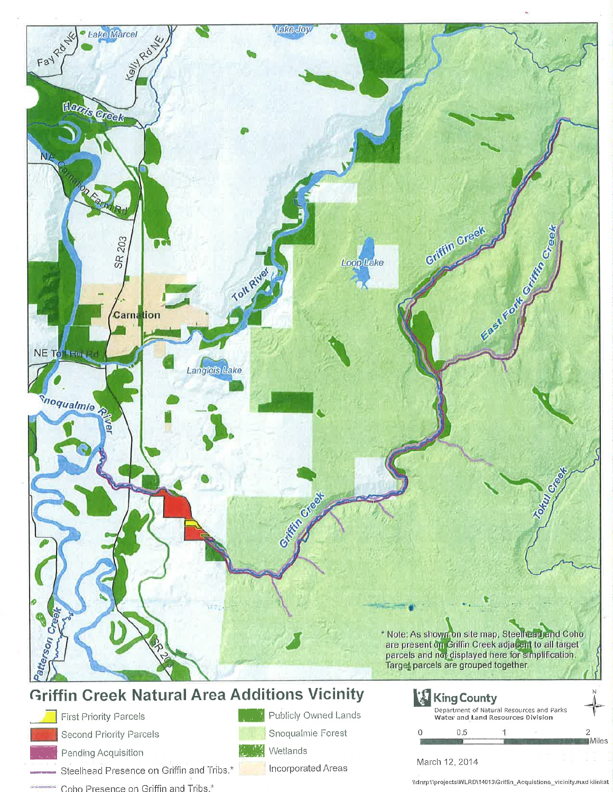

# **Griffin Creek Natural Area Additions Vicinity**

Second Priority Parcels

**First Priority Parcels** 

Pending Acquisition

Steelhead Presence on Griffin and Tribs.\*

- Coho Presence on Griffin and Tribs.\*
- Publicly Owned Lands

Snoqualmie Forest



Incorporated Areas

**King County** Department of Natural Resources and Parks Water and Land Resources Division

#### March 12, 2014

 $0.5$ 

\\dnrp1\projects\WLRD\14013\Griffin\_Acquistions\_vicinity.mxd klinkat

2 Miles